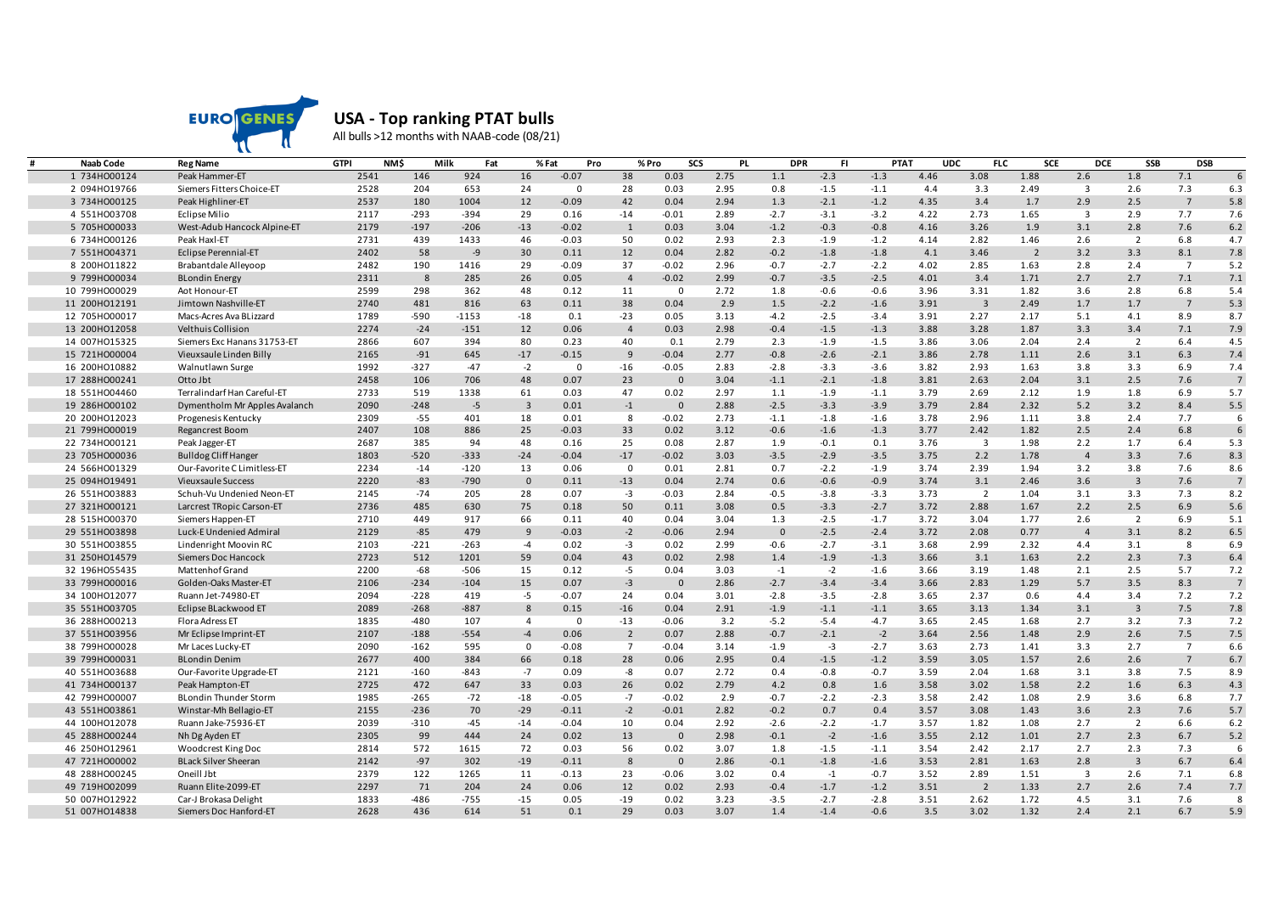

## **USA - Top ranking PTAT bulls**

All bulls >12 months with NAAB-code (08/21)

| <b>Naab Code</b> | <b>Reg Name</b>               | <b>GTPI</b> | <b>NMS</b> | Milk<br>Fat | % Fat          | Pro         |                | % Pro<br>SCS   | <b>PL</b> | <b>DPR</b>     | FI     | <b>PTAT</b> |      | <b>UDC</b><br><b>FLC</b> | <b>SCE</b>     | <b>DCE</b>              | <b>SSB</b>     | <b>DSB</b>     |                |
|------------------|-------------------------------|-------------|------------|-------------|----------------|-------------|----------------|----------------|-----------|----------------|--------|-------------|------|--------------------------|----------------|-------------------------|----------------|----------------|----------------|
| 1 734H000124     | Peak Hammer-ET                | 2541        | 146        | 924         | 16             | $-0.07$     | 38             | 0.03           | 2.75      | 1.1            | $-2.3$ | $-1.3$      | 4.46 | 3.08                     | 1.88           | 2.6                     | 1.8            | 7.1            | 6              |
| 2 094HO19766     | Siemers Fitters Choice-ET     | 2528        | 204        | 653         | 24             | $\Omega$    | 28             | 0.03           | 2.95      | 0.8            | $-1.5$ | $-1.1$      | 4.4  | 3.3                      | 2.49           | $\overline{\mathbf{3}}$ | 2.6            | 7.3            | 6.3            |
| 3 734H000125     | Peak Highliner-ET             | 2537        | 180        | 1004        | 12             | $-0.09$     | 42             | 0.04           | 2.94      | 1.3            | $-2.1$ | $-1.2$      | 4.35 | 3.4                      | 1.7            | 2.9                     | 2.5            | $\overline{7}$ | 5.8            |
| 4 551H003708     | Eclipse Milio                 | 2117        | $-293$     | $-394$      | 29             | 0.16        | $-14$          | $-0.01$        | 2.89      | $-2.7$         | $-3.1$ | $-3.2$      | 4.22 | 2.73                     | 1.65           | $\overline{\mathbf{3}}$ | 2.9            | 7.7            | 7.6            |
| 5 705HO00033     | West-Adub Hancock Alpine-ET   | 2179        | $-197$     | $-206$      | $-13$          | $-0.02$     | 1              | 0.03           | 3.04      | $-1.2$         | $-0.3$ | $-0.8$      | 4.16 | 3.26                     | 1.9            | 3.1                     | 2.8            | 7.6            | 6.2            |
| 6 734H000126     | Peak Haxl-ET                  | 2731        | 439        | 1433        | 46             | $-0.03$     | 50             | 0.02           | 2.93      | 2.3            | $-1.9$ | $-1.2$      | 4.14 | 2.82                     | 1.46           | 2.6                     | $\overline{2}$ | 6.8            | 4.7            |
| 7 551HO04371     | Eclipse Perennial-ET          | 2402        | 58         | $-9$        | 30             | 0.11        | 12             | 0.04           | 2.82      | $-0.2$         | $-1.8$ | $-1.8$      | 4.1  | 3.46                     | $\overline{2}$ | 3.2                     | 3.3            | 8.1            | 7.8            |
| 8 200HO11822     | Brabantdale Alleyoop          | 2482        | 190        | 1416        | 29             | $-0.09$     | 37             | $-0.02$        | 2.96      | $-0.7$         | $-2.7$ | $-2.2$      | 4.02 | 2.85                     | 1.63           | 2.8                     | 2.4            | $\overline{7}$ | 5.2            |
| 9 799HO00034     | <b>BLondin Energy</b>         | 2311        | 8          | 285         | 26             | 0.05        | $\overline{4}$ | $-0.02$        | 2.99      | $-0.7$         | $-3.5$ | $-2.5$      | 4.01 | 3.4                      | 1.71           | 2.7                     | 2.7            | 7.1            | 7.1            |
| 10 799HO00029    | Aot Honour-ET                 | 2599        | 298        | 362         | 48             | 0.12        | 11             | $\mathbf 0$    | 2.72      | 1.8            | $-0.6$ | $-0.6$      | 3.96 | 3.31                     | 1.82           | 3.6                     | 2.8            | 6.8            | 5.4            |
| 11 200HO12191    | Jimtown Nashville-ET          | 2740        | 481        | 816         | 63             | 0.11        | 38             | 0.04           | 2.9       | 1.5            | $-2.2$ | $-1.6$      | 3.91 | $\overline{3}$           | 2.49           | 1.7                     | 1.7            | $\overline{7}$ | 5.3            |
| 12 705HO00017    | Macs-Acres Ava BLizzard       | 1789        | $-590$     | $-1153$     | $-18$          | 0.1         | $-23$          | 0.05           | 3.13      | $-4.2$         | $-2.5$ | $-3.4$      | 3.91 | 2.27                     | 2.17           | 5.1                     | 4.1            | 8.9            | 8.7            |
| 13 200HO12058    | Velthuis Collision            | 2274        | $-24$      | $-151$      | 12             | 0.06        | $\overline{4}$ | 0.03           | 2.98      | $-0.4$         | $-1.5$ | $-1.3$      | 3.88 | 3.28                     | 1.87           | 3.3                     | 3.4            | 7.1            | 7.9            |
| 14 007H015325    | Siemers Exc Hanans 31753-ET   | 2866        | 607        | 394         | 80             | 0.23        | 40             | 0.1            | 2.79      | 2.3            | $-1.9$ | $-1.5$      | 3.86 | 3.06                     | 2.04           | 2.4                     | $\overline{2}$ | 6.4            | 4.5            |
| 15 721H000004    | Vieuxsaule Linden Billy       | 2165        | $-91$      | 645         | $-17$          | $-0.15$     | 9              | $-0.04$        | 2.77      | $-0.8$         | $-2.6$ | $-2.1$      | 3.86 | 2.78                     | 1.11           | 2.6                     | 3.1            | 6.3            | 7.4            |
| 16 200HO10882    | Walnutlawn Surge              | 1992        | $-327$     | $-47$       | $-2$           | $\mathbf 0$ | $-16$          | $-0.05$        | 2.83      | $-2.8$         | $-3.3$ | $-3.6$      | 3.82 | 2.93                     | 1.63           | 3.8                     | 3.3            | 6.9            | 7.4            |
| 17 288HO00241    | Otto Jbt                      | 2458        | 106        | 706         | 48             | 0.07        | 23             | $\overline{0}$ | 3.04      | $-1.1$         | $-2.1$ | $-1.8$      | 3.81 | 2.63                     | 2.04           | 3.1                     | 2.5            | 7.6            | $\overline{7}$ |
| 18 551H004460    | Terralindarf Han Careful-ET   | 2733        | 519        | 1338        | 61             | 0.03        | 47             | 0.02           | 2.97      | 1.1            | $-1.9$ | $-1.1$      | 3.79 | 2.69                     | 2.12           | 1.9                     | 1.8            | 6.9            | 5.7            |
| 19 286HO00102    | Dymentholm Mr Apples Avalanch | 2090        | $-248$     | $-5$        | $\overline{3}$ | 0.01        | $-1$           | $\overline{0}$ | 2.88      | $-2.5$         | $-3.3$ | $-3.9$      | 3.79 | 2.84                     | 2.32           | 5.2                     | 3.2            | 8.4            | 5.5            |
| 20 200HO12023    | Progenesis Kentucky           | 2309        | -55        | 401         | 18             | 0.01        | 8              | $-0.02$        | 2.73      | $-1.1$         | $-1.8$ | $-1.6$      | 3.78 | 2.96                     | 1.11           | 3.8                     | 2.4            | 7.7            | 6              |
| 21 799H000019    | Regancrest Boom               | 2407        | 108        | 886         | 25             | $-0.03$     | 33             | 0.02           | 3.12      | $-0.6$         | $-1.6$ | $-1.3$      | 3.77 | 2.42                     | 1.82           | 2.5                     | 2.4            | 6.8            | 6              |
| 22 734H000121    | Peak Jagger-ET                | 2687        | 385        | 94          | 48             | 0.16        | 25             | 0.08           | 2.87      | 1.9            | $-0.1$ | 0.1         | 3.76 | $\overline{\mathbf{3}}$  | 1.98           | 2.2                     | 1.7            | 6.4            | 5.3            |
| 23 705HO00036    | <b>Bulldog Cliff Hanger</b>   | 1803        | $-520$     | $-333$      | $-24$          | $-0.04$     | $-17$          | $-0.02$        | 3.03      | $-3.5$         | $-2.9$ | $-3.5$      | 3.75 | 2.2                      | 1.78           | $\overline{4}$          | 3.3            | 7.6            | 8.3            |
| 24 566HO01329    | Our-Favorite C Limitless-ET   | 2234        | $-14$      | $-120$      | 13             | 0.06        | $^{\circ}$     | 0.01           | 2.81      | 0.7            | $-2.2$ | $-1.9$      | 3.74 | 2.39                     | 1.94           | 3.2                     | 3.8            | 7.6            | 8.6            |
| 25 094HO19491    | Vieuxsaule Success            | 2220        | $-83$      | $-790$      | $\mathbf{0}$   | 0.11        | $-13$          | 0.04           | 2.74      | 0.6            | $-0.6$ | $-0.9$      | 3.74 | 3.1                      | 2.46           | 3.6                     | $\overline{3}$ | 7.6            | $\overline{7}$ |
| 26 551H003883    | Schuh-Vu Undenied Neon-ET     | 2145        | $-74$      | 205         | 28             | 0.07        | $-3$           | $-0.03$        | 2.84      | $-0.5$         | $-3.8$ | $-3.3$      | 3.73 | $\overline{2}$           | 1.04           | 3.1                     | 3.3            | 7.3            | 8.2            |
| 27 321H000121    | Larcrest TRopic Carson-ET     | 2736        | 485        | 630         | 75             | 0.18        | 50             | 0.11           | 3.08      | 0.5            | $-3.3$ | $-2.7$      | 3.72 | 2.88                     | 1.67           | 2.2                     | 2.5            | 6.9            | 5.6            |
| 28 515H000370    | Siemers Happen-ET             | 2710        | 449        | 917         | 66             | 0.11        | 40             | 0.04           | 3.04      | 1.3            | $-2.5$ | $-1.7$      | 3.72 | 3.04                     | 1.77           | 2.6                     | $\overline{2}$ | 6.9            | 5.1            |
| 29 551H003898    | Luck-E Undenied Admiral       | 2129        | $-85$      | 479         | 9              | $-0.03$     | $-2$           | $-0.06$        | 2.94      | $\overline{0}$ | $-2.5$ | $-2.4$      | 3.72 | 2.08                     | 0.77           | $\overline{4}$          | 3.1            | 8.2            | 6.5            |
| 30 551H003855    | Lindenright Moovin RC         | 2103        | $-221$     | $-263$      | $-4$           | 0.02        | $-3$           | 0.02           | 2.99      | $-0.6$         | $-2.7$ | $-3.1$      | 3.68 | 2.99                     | 2.32           | 4.4                     | 3.1            | 8              | 6.9            |
| 31 250HO14579    | Siemers Doc Hancock           | 2723        | 512        | 1201        | 59             | 0.04        | 43             | 0.02           | 2.98      | 1.4            | $-1.9$ | $-1.3$      | 3.66 | 3.1                      | 1.63           | 2.2                     | 2.3            | 7.3            | 6.4            |
| 32 196H055435    | Mattenhof Grand               | 2200        | $-68$      | $-506$      | 15             | 0.12        | $-5$           | 0.04           | 3.03      | $-1$           | $-2$   | $-1.6$      | 3.66 | 3.19                     | 1.48           | 2.1                     | 2.5            | 5.7            | 7.2            |
| 33 799H000016    | Golden-Oaks Master-ET         | 2106        | $-234$     | $-104$      | 15             | 0.07        | $-3$           | $\overline{0}$ | 2.86      | $-2.7$         | $-3.4$ | $-3.4$      | 3.66 | 2.83                     | 1.29           | 5.7                     | 3.5            | 8.3            | $\overline{7}$ |
| 34 100HO12077    | Ruann Jet-74980-ET            | 2094        | $-228$     | 419         | $-5$           | $-0.07$     | 24             | 0.04           | 3.01      | $-2.8$         | $-3.5$ | $-2.8$      | 3.65 | 2.37                     | 0.6            | 4.4                     | 3.4            | 7.2            | 7.2            |
| 35 551H003705    | Eclipse BLackwood ET          | 2089        | $-268$     | $-887$      | 8              | 0.15        | $-16$          | 0.04           | 2.91      | $-1.9$         | $-1.1$ | $-1.1$      | 3.65 | 3.13                     | 1.34           | 3.1                     | $\overline{3}$ | 7.5            | 7.8            |
| 36 288HO00213    | Flora Adress ET               | 1835        | $-480$     | 107         | $\overline{4}$ | $\Omega$    | $-13$          | $-0.06$        | 3.2       | $-5.2$         | $-5.4$ | $-4.7$      | 3.65 | 2.45                     | 1.68           | 2.7                     | 3.2            | 7.3            | 7.2            |
| 37 551H003956    | Mr Eclipse Imprint-ET         | 2107        | $-188$     | $-554$      | $-4$           | 0.06        | $\overline{2}$ | 0.07           | 2.88      | $-0.7$         | $-2.1$ | $-2$        | 3.64 | 2.56                     | 1.48           | 2.9                     | 2.6            | 7.5            | 7.5            |
| 38 799HO00028    | Mr Laces Lucky-ET             | 2090        | $-162$     | 595         | $\mathbf 0$    | $-0.08$     | $\overline{7}$ | $-0.04$        | 3.14      | $-1.9$         | $-3$   | $-2.7$      | 3.63 | 2.73                     | 1.41           | 3.3                     | 2.7            | $\overline{7}$ | 6.6            |
| 39 799HO00031    | <b>BLondin Denim</b>          | 2677        | 400        | 384         | 66             | 0.18        | 28             | 0.06           | 2.95      | 0.4            | $-1.5$ | $-1.2$      | 3.59 | 3.05                     | 1.57           | 2.6                     | 2.6            | $\overline{7}$ | 6.7            |
| 40 551H003688    | Our-Favorite Upgrade-ET       | 2121        | $-160$     | $-843$      | $-7$           | 0.09        | -8             | 0.07           | 2.72      | 0.4            | $-0.8$ | $-0.7$      | 3.59 | 2.04                     | 1.68           | 3.1                     | 3.8            | 7.5            | 8.9            |
| 41 734H000137    | Peak Hampton-ET               | 2725        | 472        | 647         | 33             | 0.03        | 26             | 0.02           | 2.79      | 4.2            | 0.8    | 1.6         | 3.58 | 3.02                     | 1.58           | 2.2                     | 1.6            | 6.3            | 4.3            |
| 42 799H000007    | <b>BLondin Thunder Storm</b>  | 1985        | $-265$     | $-72$       | $-18$          | $-0.05$     | $-7$           | $-0.02$        | 2.9       | $-0.7$         | $-2.2$ | $-2.3$      | 3.58 | 2.42                     | 1.08           | 2.9                     | 3.6            | 6.8            | 7.7            |
| 43 551H003861    | Winstar-Mh Bellagio-ET        | 2155        | $-236$     | 70          | $-29$          | $-0.11$     | $-2$           | $-0.01$        | 2.82      | $-0.2$         | 0.7    | 0.4         | 3.57 | 3.08                     | 1.43           | 3.6                     | 2.3            | 7.6            | 5.7            |
| 44 100HO12078    | Ruann Jake-75936-ET           | 2039        | $-310$     | $-45$       | $-14$          | $-0.04$     | 10             | 0.04           | 2.92      | $-2.6$         | $-2.2$ | $-1.7$      | 3.57 | 1.82                     | 1.08           | 2.7                     | $\overline{2}$ | 6.6            | 6.2            |
|                  |                               | 2305        | 99         | 444         |                | 0.02        | 13             | $\overline{0}$ | 2.98      |                | $-2$   | $-1.6$      | 3.55 | 2.12                     | 1.01           | 2.7                     | 2.3            | 6.7            | 5.2            |
| 45 288HO00244    | Nh Dg Ayden ET                |             |            |             | 24             |             |                |                |           | $-0.1$         |        |             |      |                          |                |                         |                |                |                |
| 46 250HO12961    | Woodcrest King Doc            | 2814        | 572        | 1615        | 72             | 0.03        | 56             | 0.02           | 3.07      | 1.8            | $-1.5$ | $-1.1$      | 3.54 | 2.42                     | 2.17           | 2.7                     | 2.3            | 7.3            | 6              |
| 47 721H000002    | <b>BLack Silver Sheeran</b>   | 2142        | $-97$      | 302         | $-19$          | $-0.11$     | 8              | $\overline{0}$ | 2.86      | $-0.1$         | $-1.8$ | $-1.6$      | 3.53 | 2.81                     | 1.63           | 2.8                     | $\overline{3}$ | 6.7            | 6.4            |
| 48 288HO00245    | Oneill Jbt                    | 2379        | 122        | 1265        | 11             | $-0.13$     | 23             | $-0.06$        | 3.02      | 0.4            | $-1$   | $-0.7$      | 3.52 | 2.89                     | 1.51           | $\overline{\mathbf{3}}$ | 2.6            | 7.1            | 6.8            |
| 49 719HO02099    | Ruann Elite-2099-ET           | 2297        | 71         | 204         | 24             | 0.06        | 12             | 0.02           | 2.93      | $-0.4$         | $-1.7$ | $-1.2$      | 3.51 | $\overline{2}$           | 1.33           | 2.7                     | 2.6            | 7.4            | 7.7            |
| 50 007H012922    | Car-J Brokasa Delight         | 1833        | $-486$     | $-755$      | $-15$          | 0.05        | $-19$          | 0.02           | 3.23      | $-3.5$         | $-2.7$ | $-2.8$      | 3.51 | 2.62                     | 1.72           | 4.5                     | 3.1            | 7.6            | 8              |
| 51 007HO14838    | Siemers Doc Hanford-ET        | 2628        | 436        | 614         | 51             | 0.1         | 29             | 0.03           | 3.07      | 1.4            | $-1.4$ | $-0.6$      | 3.5  | 3.02                     | 1.32           | 2.4                     | 2.1            | 6.7            | 5.9            |
|                  |                               |             |            |             |                |             |                |                |           |                |        |             |      |                          |                |                         |                |                |                |